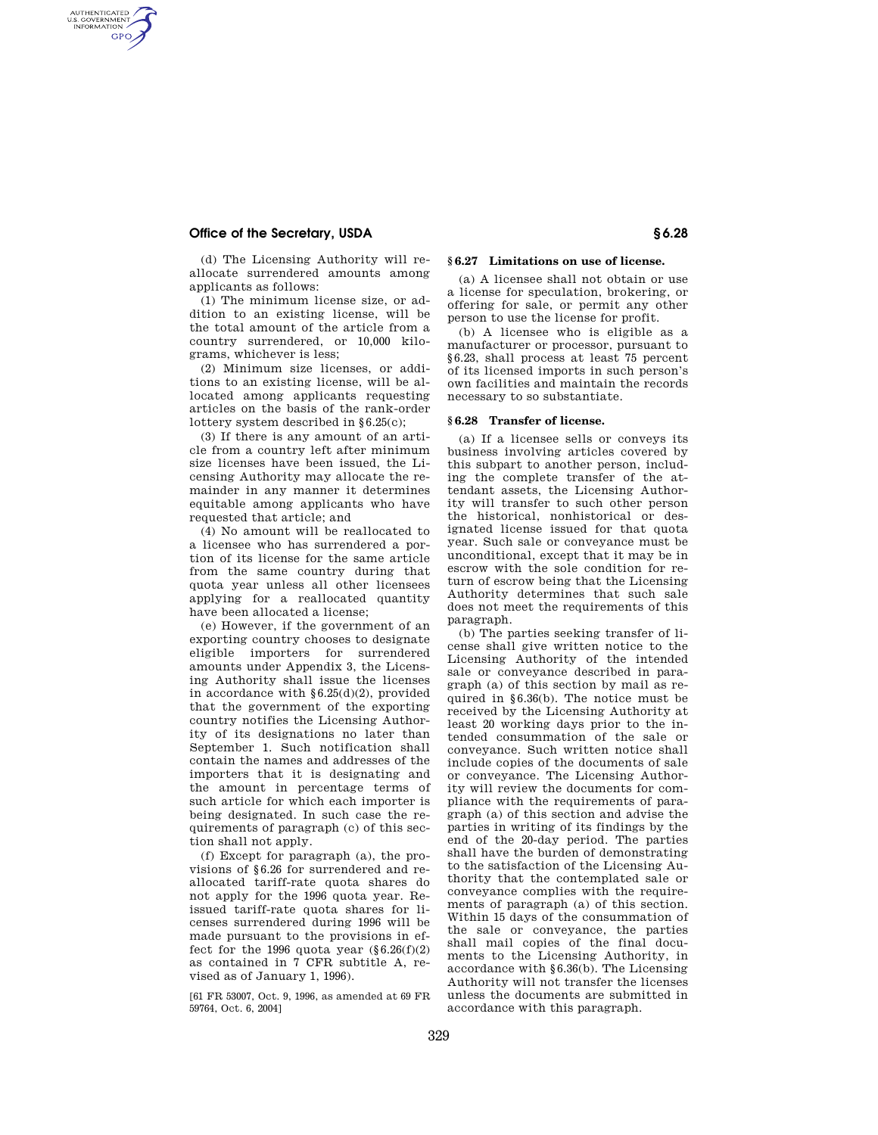## **Office of the Secretary, USDA § 6.28**

AUTHENTICATED<br>U.S. GOVERNMENT<br>INFORMATION **GPO** 

> (d) The Licensing Authority will reallocate surrendered amounts among applicants as follows:

> (1) The minimum license size, or addition to an existing license, will be the total amount of the article from a country surrendered, or 10,000 kilograms, whichever is less;

> (2) Minimum size licenses, or additions to an existing license, will be allocated among applicants requesting articles on the basis of the rank-order lottery system described in §6.25(c);

> (3) If there is any amount of an article from a country left after minimum size licenses have been issued, the Licensing Authority may allocate the remainder in any manner it determines equitable among applicants who have requested that article; and

> (4) No amount will be reallocated to a licensee who has surrendered a portion of its license for the same article from the same country during that quota year unless all other licensees applying for a reallocated quantity have been allocated a license;

> (e) However, if the government of an exporting country chooses to designate eligible importers for surrendered amounts under Appendix 3, the Licensing Authority shall issue the licenses in accordance with §6.25(d)(2), provided that the government of the exporting country notifies the Licensing Authority of its designations no later than September 1. Such notification shall contain the names and addresses of the importers that it is designating and the amount in percentage terms of such article for which each importer is being designated. In such case the requirements of paragraph (c) of this section shall not apply.

> (f) Except for paragraph (a), the provisions of §6.26 for surrendered and reallocated tariff-rate quota shares do not apply for the 1996 quota year. Reissued tariff-rate quota shares for licenses surrendered during 1996 will be made pursuant to the provisions in effect for the 1996 quota year  $(\S 6.26(f)(2))$ as contained in 7 CFR subtitle A, revised as of January 1, 1996).

> [61 FR 53007, Oct. 9, 1996, as amended at 69 FR 59764, Oct. 6, 2004]

# **§ 6.27 Limitations on use of license.**

(a) A licensee shall not obtain or use a license for speculation, brokering, or offering for sale, or permit any other person to use the license for profit.

(b) A licensee who is eligible as a manufacturer or processor, pursuant to §6.23, shall process at least 75 percent of its licensed imports in such person's own facilities and maintain the records necessary to so substantiate.

#### **§ 6.28 Transfer of license.**

(a) If a licensee sells or conveys its business involving articles covered by this subpart to another person, including the complete transfer of the attendant assets, the Licensing Authority will transfer to such other person the historical, nonhistorical or designated license issued for that quota year. Such sale or conveyance must be unconditional, except that it may be in escrow with the sole condition for return of escrow being that the Licensing Authority determines that such sale does not meet the requirements of this paragraph.

(b) The parties seeking transfer of license shall give written notice to the Licensing Authority of the intended sale or conveyance described in paragraph (a) of this section by mail as required in §6.36(b). The notice must be received by the Licensing Authority at least 20 working days prior to the intended consummation of the sale or conveyance. Such written notice shall include copies of the documents of sale or conveyance. The Licensing Authority will review the documents for compliance with the requirements of paragraph (a) of this section and advise the parties in writing of its findings by the end of the 20-day period. The parties shall have the burden of demonstrating to the satisfaction of the Licensing Authority that the contemplated sale or conveyance complies with the requirements of paragraph (a) of this section. Within 15 days of the consummation of the sale or conveyance, the parties shall mail copies of the final documents to the Licensing Authority, in accordance with §6.36(b). The Licensing Authority will not transfer the licenses unless the documents are submitted in accordance with this paragraph.